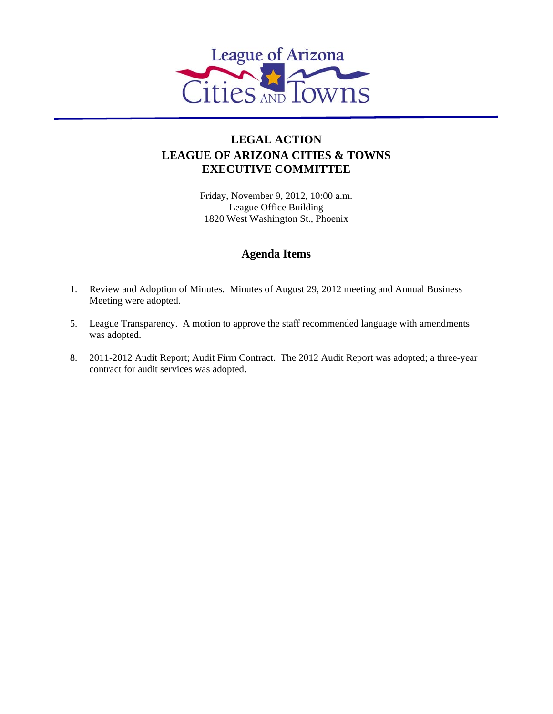

## **LEGAL ACTION LEAGUE OF ARIZONA CITIES & TOWNS EXECUTIVE COMMITTEE**

Friday, November 9, 2012, 10:00 a.m. League Office Building 1820 West Washington St., Phoenix

## **Agenda Items**

- 1. Review and Adoption of Minutes. Minutes of August 29, 2012 meeting and Annual Business Meeting were adopted.
- 5. League Transparency. A motion to approve the staff recommended language with amendments was adopted.
- 8. 2011-2012 Audit Report; Audit Firm Contract. The 2012 Audit Report was adopted; a three-year contract for audit services was adopted.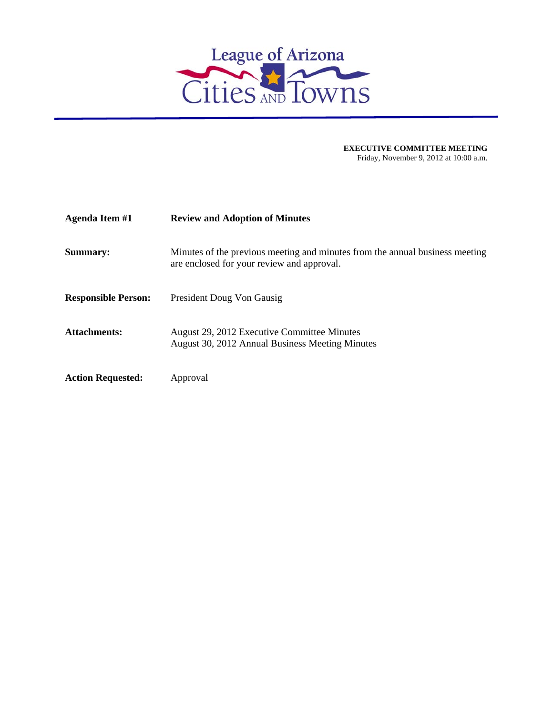

| <b>Agenda Item #1</b>      | <b>Review and Adoption of Minutes</b>                                                                                      |
|----------------------------|----------------------------------------------------------------------------------------------------------------------------|
| <b>Summary:</b>            | Minutes of the previous meeting and minutes from the annual business meeting<br>are enclosed for your review and approval. |
| <b>Responsible Person:</b> | President Doug Von Gausig                                                                                                  |
| <b>Attachments:</b>        | August 29, 2012 Executive Committee Minutes<br>August 30, 2012 Annual Business Meeting Minutes                             |
| <b>Action Requested:</b>   | Approval                                                                                                                   |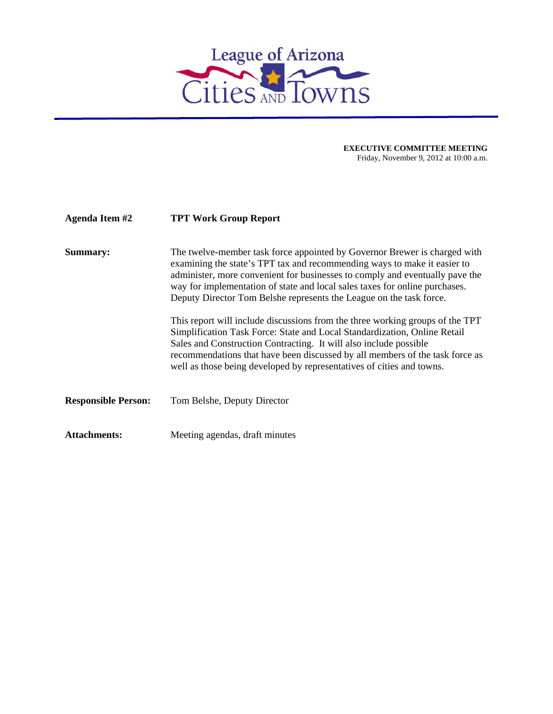

| Agenda Item #2             | <b>TPT Work Group Report</b>                                                                                                                                                                                                                                                                                                                                                                |
|----------------------------|---------------------------------------------------------------------------------------------------------------------------------------------------------------------------------------------------------------------------------------------------------------------------------------------------------------------------------------------------------------------------------------------|
| Summary:                   | The twelve-member task force appointed by Governor Brewer is charged with<br>examining the state's TPT tax and recommending ways to make it easier to<br>administer, more convenient for businesses to comply and eventually pave the<br>way for implementation of state and local sales taxes for online purchases.<br>Deputy Director Tom Belshe represents the League on the task force. |
|                            | This report will include discussions from the three working groups of the TPT<br>Simplification Task Force: State and Local Standardization, Online Retail<br>Sales and Construction Contracting. It will also include possible<br>recommendations that have been discussed by all members of the task force as<br>well as those being developed by representatives of cities and towns.    |
| <b>Responsible Person:</b> | Tom Belshe, Deputy Director                                                                                                                                                                                                                                                                                                                                                                 |
| <b>Attachments:</b>        | Meeting agendas, draft minutes                                                                                                                                                                                                                                                                                                                                                              |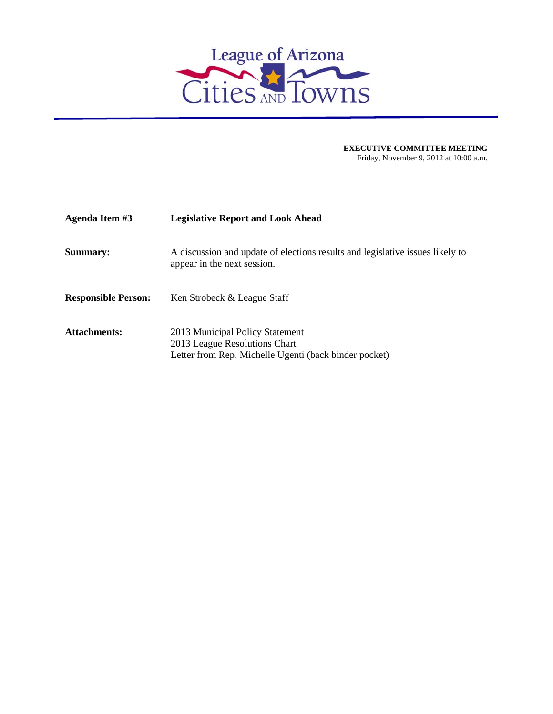

| Agenda Item #3             | <b>Legislative Report and Look Ahead</b>                                                                                  |
|----------------------------|---------------------------------------------------------------------------------------------------------------------------|
| <b>Summary:</b>            | A discussion and update of elections results and legislative issues likely to<br>appear in the next session.              |
| <b>Responsible Person:</b> | Ken Strobeck & League Staff                                                                                               |
| <b>Attachments:</b>        | 2013 Municipal Policy Statement<br>2013 League Resolutions Chart<br>Letter from Rep. Michelle Ugenti (back binder pocket) |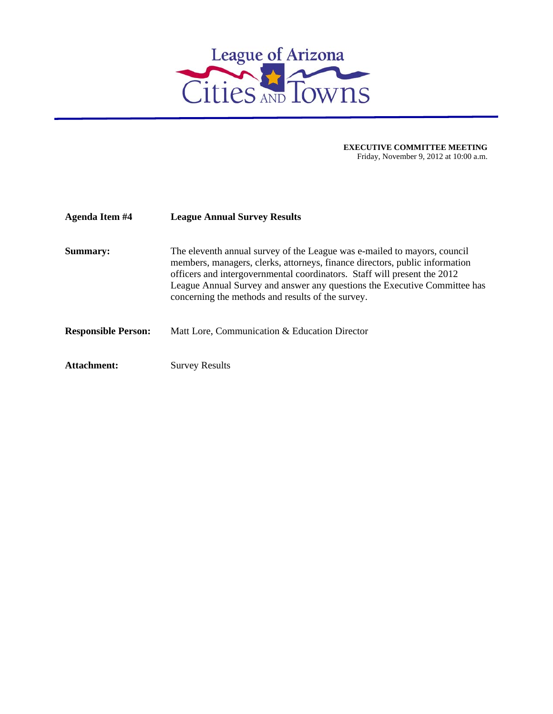

| <b>Agenda Item #4</b>      | <b>League Annual Survey Results</b>                                                                                                                                                                                                                                                                                                                                   |
|----------------------------|-----------------------------------------------------------------------------------------------------------------------------------------------------------------------------------------------------------------------------------------------------------------------------------------------------------------------------------------------------------------------|
| Summary:                   | The eleventh annual survey of the League was e-mailed to mayors, council<br>members, managers, clerks, attorneys, finance directors, public information<br>officers and intergovernmental coordinators. Staff will present the 2012<br>League Annual Survey and answer any questions the Executive Committee has<br>concerning the methods and results of the survey. |
| <b>Responsible Person:</b> | Matt Lore, Communication & Education Director                                                                                                                                                                                                                                                                                                                         |
| Attachment:                | <b>Survey Results</b>                                                                                                                                                                                                                                                                                                                                                 |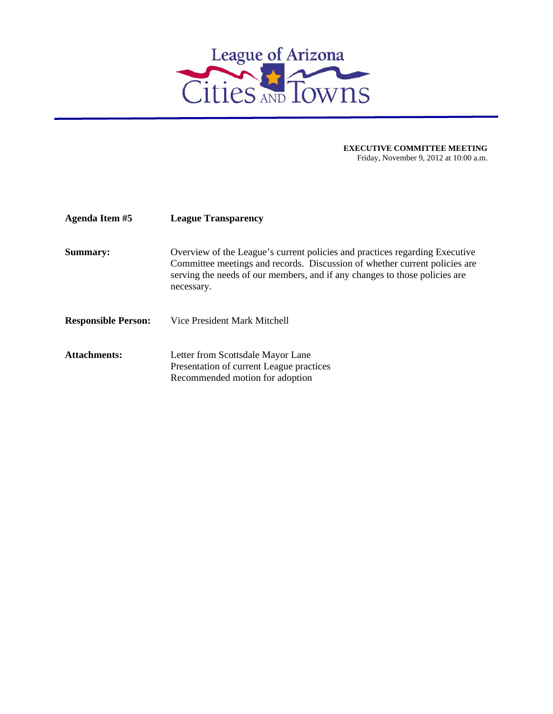

| Agenda Item #5             | <b>League Transparency</b>                                                                                                                                                                                                                            |
|----------------------------|-------------------------------------------------------------------------------------------------------------------------------------------------------------------------------------------------------------------------------------------------------|
| <b>Summary:</b>            | Overview of the League's current policies and practices regarding Executive<br>Committee meetings and records. Discussion of whether current policies are<br>serving the needs of our members, and if any changes to those policies are<br>necessary. |
| <b>Responsible Person:</b> | Vice President Mark Mitchell                                                                                                                                                                                                                          |
| Attachments:               | Letter from Scottsdale Mayor Lane<br>Presentation of current League practices<br>Recommended motion for adoption                                                                                                                                      |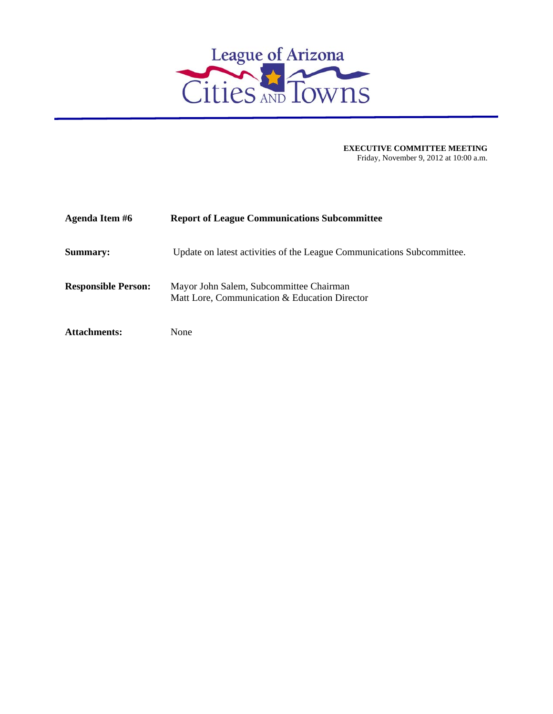

| Agenda Item #6             | <b>Report of League Communications Subcommittee</b>                                      |
|----------------------------|------------------------------------------------------------------------------------------|
| <b>Summary:</b>            | Update on latest activities of the League Communications Subcommittee.                   |
| <b>Responsible Person:</b> | Mayor John Salem, Subcommittee Chairman<br>Matt Lore, Communication & Education Director |
| <b>Attachments:</b>        | None                                                                                     |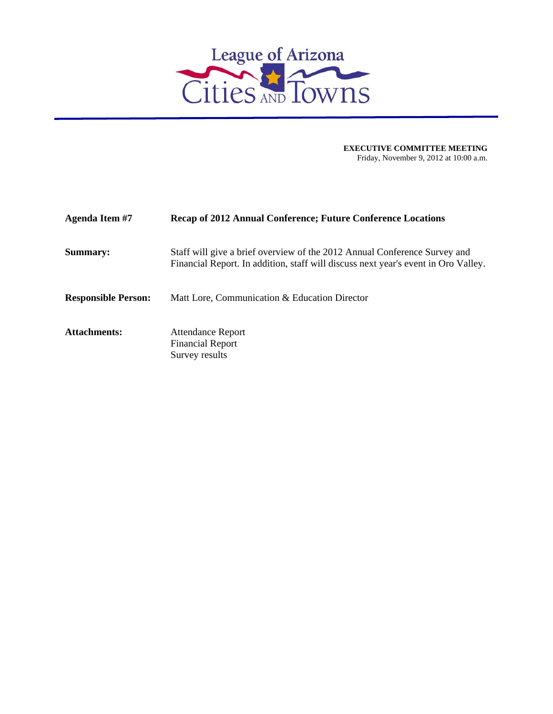

| Agenda Item #7             | <b>Recap of 2012 Annual Conference; Future Conference Locations</b>                                                                                             |
|----------------------------|-----------------------------------------------------------------------------------------------------------------------------------------------------------------|
| <b>Summary:</b>            | Staff will give a brief overview of the 2012 Annual Conference Survey and<br>Financial Report. In addition, staff will discuss next year's event in Oro Valley. |
| <b>Responsible Person:</b> | Matt Lore, Communication & Education Director                                                                                                                   |
| <b>Attachments:</b>        | <b>Attendance Report</b><br><b>Financial Report</b><br>Survey results                                                                                           |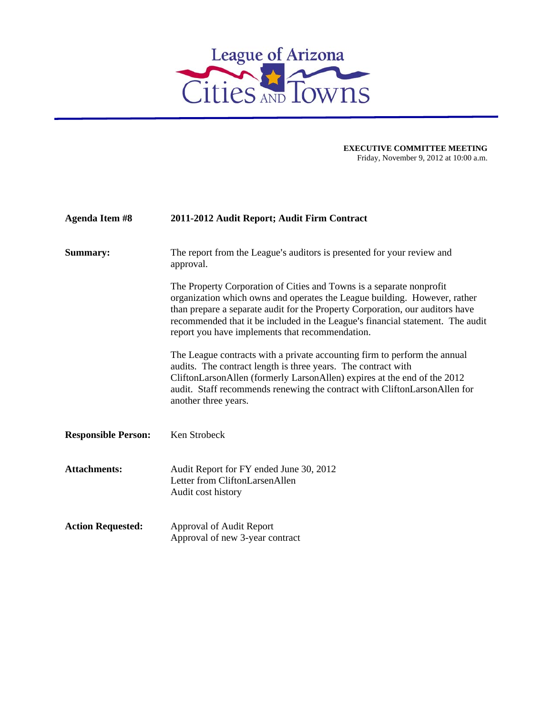

| <b>Agenda Item #8</b>      | 2011-2012 Audit Report; Audit Firm Contract                                                                                                                                                                                                                                                                                                                             |
|----------------------------|-------------------------------------------------------------------------------------------------------------------------------------------------------------------------------------------------------------------------------------------------------------------------------------------------------------------------------------------------------------------------|
| Summary:                   | The report from the League's auditors is presented for your review and<br>approval.                                                                                                                                                                                                                                                                                     |
|                            | The Property Corporation of Cities and Towns is a separate nonprofit<br>organization which owns and operates the League building. However, rather<br>than prepare a separate audit for the Property Corporation, our auditors have<br>recommended that it be included in the League's financial statement. The audit<br>report you have implements that recommendation. |
|                            | The League contracts with a private accounting firm to perform the annual<br>audits. The contract length is three years. The contract with<br>CliftonLarsonAllen (formerly LarsonAllen) expires at the end of the 2012<br>audit. Staff recommends renewing the contract with CliftonLarsonAllen for<br>another three years.                                             |
| <b>Responsible Person:</b> | Ken Strobeck                                                                                                                                                                                                                                                                                                                                                            |
| <b>Attachments:</b>        | Audit Report for FY ended June 30, 2012<br>Letter from CliftonLarsenAllen<br>Audit cost history                                                                                                                                                                                                                                                                         |
| <b>Action Requested:</b>   | Approval of Audit Report<br>Approval of new 3-year contract                                                                                                                                                                                                                                                                                                             |